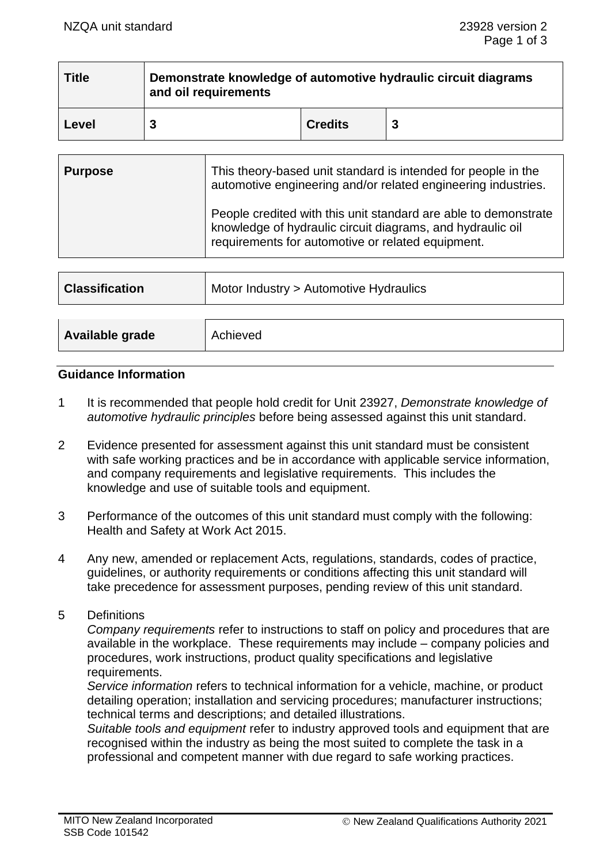| <b>Title</b> | Demonstrate knowledge of automotive hydraulic circuit diagrams<br>and oil requirements |                |   |
|--------------|----------------------------------------------------------------------------------------|----------------|---|
| Level        |                                                                                        | <b>Credits</b> | 3 |

| <b>Purpose</b> | This theory-based unit standard is intended for people in the<br>automotive engineering and/or related engineering industries.                                                     |  |
|----------------|------------------------------------------------------------------------------------------------------------------------------------------------------------------------------------|--|
|                | People credited with this unit standard are able to demonstrate<br>knowledge of hydraulic circuit diagrams, and hydraulic oil<br>requirements for automotive or related equipment. |  |

| <b>Classification</b> | Motor Industry > Automotive Hydraulics |  |
|-----------------------|----------------------------------------|--|
|                       |                                        |  |
| Available grade       | Achieved                               |  |

#### **Guidance Information**

- 1 It is recommended that people hold credit for Unit 23927, *Demonstrate knowledge of automotive hydraulic principles* before being assessed against this unit standard.
- 2 Evidence presented for assessment against this unit standard must be consistent with safe working practices and be in accordance with applicable service information, and company requirements and legislative requirements. This includes the knowledge and use of suitable tools and equipment.
- 3 Performance of the outcomes of this unit standard must comply with the following: Health and Safety at Work Act 2015.
- 4 Any new, amended or replacement Acts, regulations, standards, codes of practice, guidelines, or authority requirements or conditions affecting this unit standard will take precedence for assessment purposes, pending review of this unit standard.
- 5 Definitions

*Company requirements* refer to instructions to staff on policy and procedures that are available in the workplace. These requirements may include – company policies and procedures, work instructions, product quality specifications and legislative requirements.

*Service information* refers to technical information for a vehicle, machine, or product detailing operation; installation and servicing procedures; manufacturer instructions; technical terms and descriptions; and detailed illustrations.

*Suitable tools and equipment* refer to industry approved tools and equipment that are recognised within the industry as being the most suited to complete the task in a professional and competent manner with due regard to safe working practices.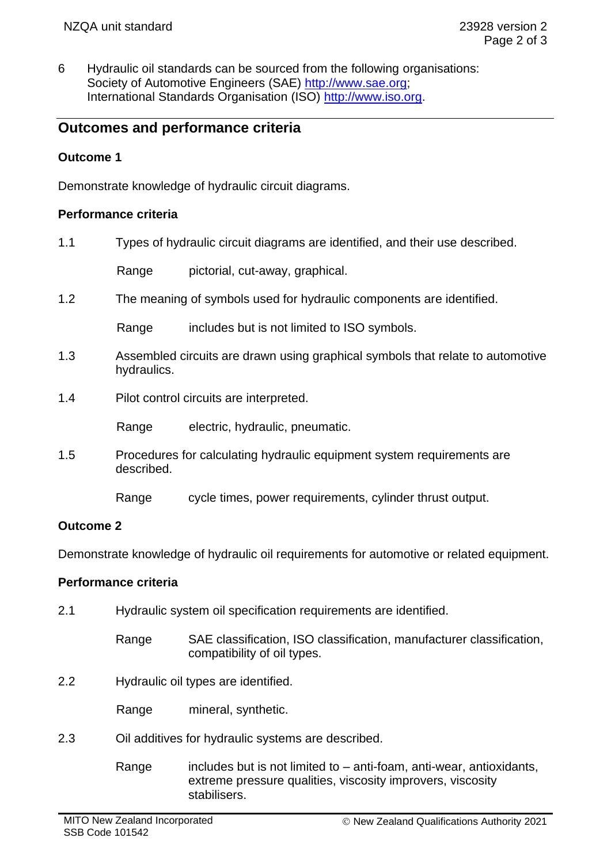6 Hydraulic oil standards can be sourced from the following organisations: Society of Automotive Engineers (SAE) [http://www.sae.org;](http://www.sae.org/) International Standards Organisation (ISO) [http://www.iso.org.](http://www.iso.org/)

# **Outcomes and performance criteria**

## **Outcome 1**

Demonstrate knowledge of hydraulic circuit diagrams.

#### **Performance criteria**

1.1 Types of hydraulic circuit diagrams are identified, and their use described.

Range pictorial, cut-away, graphical.

1.2 The meaning of symbols used for hydraulic components are identified.

Range includes but is not limited to ISO symbols.

- 1.3 Assembled circuits are drawn using graphical symbols that relate to automotive hydraulics.
- 1.4 Pilot control circuits are interpreted.

Range electric, hydraulic, pneumatic.

- 1.5 Procedures for calculating hydraulic equipment system requirements are described.
	- Range cycle times, power requirements, cylinder thrust output.

#### **Outcome 2**

Demonstrate knowledge of hydraulic oil requirements for automotive or related equipment.

#### **Performance criteria**

- 2.1 Hydraulic system oil specification requirements are identified.
	- Range SAE classification, ISO classification, manufacturer classification, compatibility of oil types.
- 2.2 Hydraulic oil types are identified.

Range mineral, synthetic.

- 2.3 Oil additives for hydraulic systems are described.
	- Range includes but is not limited to  $-$  anti-foam, anti-wear, antioxidants, extreme pressure qualities, viscosity improvers, viscosity stabilisers.